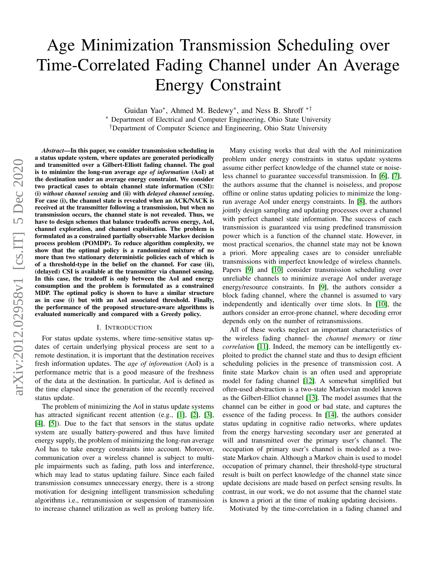# Age Minimization Transmission Scheduling over Time-Correlated Fading Channel under An Average Energy Constraint

Guidan Yao<sup>∗</sup> , Ahmed M. Bedewy<sup>∗</sup> , and Ness B. Shroff ∗†

<sup>∗</sup> Department of Electrical and Computer Engineering, Ohio State University †Department of Computer Science and Engineering, Ohio State University

*Abstract*—In this paper, we consider transmission scheduling in a status update system, where updates are generated periodically and transmitted over a Gilbert-Elliott fading channel. The goal is to minimize the long-run average *age of information* (AoI) at the destination under an average energy constraint. We consider two practical cases to obtain channel state information (CSI): (i) *without channel sensing* and (ii) with *delayed channel sensing*. For case (i), the channel state is revealed when an ACK/NACK is received at the transmitter following a transmission, but when no transmission occurs, the channel state is not revealed. Thus, we have to design schemes that balance tradeoffs across energy, AoI, channel exploration, and channel exploitation. The problem is formulated as a constrained partially observable Markov decision process problem (POMDP). To reduce algorithm complexity, we show that the optimal policy is a randomized mixture of no more than two stationary deterministic policies each of which is of a threshold-type in the belief on the channel. For case (ii), (delayed) CSI is available at the transmitter via channel sensing. In this case, the tradeoff is only between the AoI and energy consumption and the problem is formulated as a constrained MDP. The optimal policy is shown to have a similar structure as in case (i) but with an AoI associated threshold. Finally, the performance of the proposed structure-aware algorithms is evaluated numerically and compared with a Greedy policy.

#### I. INTRODUCTION

For status update systems, where time-sensitive status updates of certain underlying physical process are sent to a remote destination, it is important that the destination receives fresh information updates. The *age of information* (AoI) is a performance metric that is a good measure of the freshness of the data at the destination. In particular, AoI is defined as the time elapsed since the generation of the recently received status update.

The problem of minimizing the AoI in status update systems has attracted significant recent attention (e.g., [\[1\]](#page-9-0), [\[2\]](#page-9-1), [\[3\]](#page-9-2), [\[4\]](#page-9-3), [\[5\]](#page-9-4)). Due to the fact that sensors in the status update system are usually battery-powered and thus have limited energy supply, the problem of minimizing the long-run average AoI has to take energy constraints into account. Moreover, communication over a wireless channel is subject to multiple impairments such as fading, path loss and interference, which may lead to status updating failure. Since each failed transmission consumes unnecessary energy, there is a strong motivation for designing intelligent transmission scheduling algorithms i.e., retransmission or suspension of transmission to increase channel utilization as well as prolong battery life.

Many existing works that deal with the AoI minimization problem under energy constraints in status update systems assume either perfect knowledge of the channel state or noiseless channel to guarantee successful transmission. In [\[6\]](#page-9-5), [\[7\]](#page-9-6), the authors assume that the channel is noiseless, and propose offline or online status updating policies to minimize the longrun average AoI under energy constraints. In [\[8\]](#page-9-7), the authors jointly design sampling and updating processes over a channel with perfect channel state information. The success of each transmission is guaranteed via using predefined transmission power which is a function of the channel state. However, in most practical scenarios, the channel state may not be known a priori. More appealing cases are to consider unreliable transmissions with imperfect knowledge of wireless channels. Papers [\[9\]](#page-9-8) and [\[10\]](#page-9-9) consider transmission scheduling over unreliable channels to minimize average AoI under average energy/resource constraints. In [\[9\]](#page-9-8), the authors consider a block fading channel, where the channel is assumed to vary independently and identically over time slots. In [\[10\]](#page-9-9), the authors consider an error-prone channel, where decoding error depends only on the number of retransmissions.

All of these works neglect an important characteristics of the wireless fading channel- the *channel memory* or *time correlation* [\[11\]](#page-9-10). Indeed, the memory can be intelligently exploited to predict the channel state and thus to design efficient scheduling policies in the presence of transmission cost. A finite state Markov chain is an often used and appropriate model for fading channel [\[12\]](#page-9-11). A somewhat simplified but often-used abstraction is a two-state Markovian model known as the Gilbert-Elliot channel [\[13\]](#page-9-12). The model assumes that the channel can be either in good or bad state, and captures the essence of the fading process. In [\[14\]](#page-9-13), the authors consider status updating in cognitive radio networks, where updates from the energy harvesting secondary user are generated at will and transmitted over the primary user's channel. The occupation of primary user's channel is modeled as a twostate Markov chain. Although a Markov chain is used to model occupation of primary channel, their threshold-type structural result is built on perfect knowledge of the channel state since update decisions are made based on perfect sensing results. In contrast, in our work, we do not assume that the channel state is known a priori at the time of making updating decisions.

Motivated by the time-correlation in a fading channel and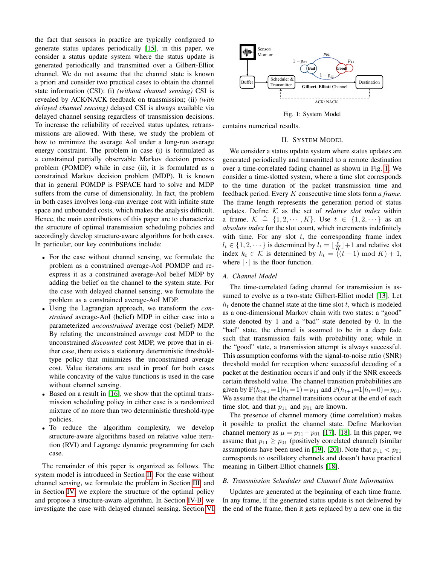the fact that sensors in practice are typically configured to generate status updates periodically [\[15\]](#page-9-14), in this paper, we consider a status update system where the status update is generated periodically and transmitted over a Gilbert-Elliot channel. We do not assume that the channel state is known a priori and consider two practical cases to obtain the channel state information (CSI): (i) *(without channel sensing)* CSI is revealed by ACK/NACK feedback on transmission; (ii) *(with delayed channel sensing)* delayed CSI is always available via delayed channel sensing regardless of transmission decisions. To increase the reliability of received status updates, retransmissions are allowed. With these, we study the problem of how to minimize the average AoI under a long-run average energy constraint. The problem in case (i) is formulated as a constrained partially observable Markov decision process problem (POMDP) while in case (ii), it is formulated as a constrained Markov decision problem (MDP). It is known that in general POMDP is PSPACE hard to solve and MDP suffers from the curse of dimensionality. In fact, the problem in both cases involves long-run average cost with infinite state space and unbounded costs, which makes the analysis difficult. Hence, the main contributions of this paper are to characterize the structure of optimal transmission scheduling policies and accordingly develop structure-aware algorithms for both cases. In particular, our key contributions include:

- For the case without channel sensing, we formulate the problem as a constrained average-AoI POMDP and reexpress it as a constrained average-AoI belief MDP by adding the belief on the channel to the system state. For the case with delayed channel sensing, we formulate the problem as a constrained average-AoI MDP.
- Using the Lagrangian approach, we transform the *constrained* average-AoI (belief) MDP in either case into a parameterized *unconstrained* average cost (belief) MDP. By relating the unconstrained *average* cost MDP to the unconstrained *discounted* cost MDP, we prove that in either case, there exists a stationary deterministic thresholdtype policy that minimizes the unconstrained average cost. Value iterations are used in proof for both cases while concavity of the value functions is used in the case without channel sensing.
- Based on a result in [\[16\]](#page-9-15), we show that the optimal transmission scheduling policy in either case is a randomized mixture of no more than two deterministic threshold-type policies.
- To reduce the algorithm complexity, we develop structure-aware algorithms based on relative value iteration (RVI) and Lagrange dynamic programming for each case.

The remainder of this paper is organized as follows. The system model is introduced in Section [II.](#page-1-0) For the case without channel sensing, we formulate the problem in Section [III,](#page-2-0) and in Section [IV,](#page-4-0) we explore the structure of the optimal policy and propose a structure-aware algorithm. In Section [IV-B,](#page-5-0) we investigate the case with delayed channel sensing. Section [VI](#page-7-0)

<span id="page-1-1"></span>

Fig. 1: System Model

<span id="page-1-0"></span>contains numerical results.

#### II. SYSTEM MODEL

We consider a status update system where status updates are generated periodically and transmitted to a remote destination over a time-correlated fading channel as shown in Fig. [1.](#page-1-1) We consider a time-slotted system, where a time slot corresponds to the time duration of the packet transmission time and feedback period. Every K consecutive time slots form *a frame*. The frame length represents the generation period of status updates. Define K as the set of *relative slot index* within a frame,  $\mathcal{K} \triangleq \{1, 2, \cdots, K\}$ . Use  $t \in \{1, 2, \cdots\}$  as an *absolute index* for the slot count, which increments indefinitely with time. For any slot  $t$ , the corresponding frame index  $l_t \in \{1, 2, \dots\}$  is determined by  $l_t = \lfloor \frac{t}{K} \rfloor + 1$  and relative slot index  $k_t \in \mathcal{K}$  is determined by  $k_t = ((t-1) \bmod K) + 1$ , where  $|\cdot|$  is the floor function.

#### *A. Channel Model*

The time-correlated fading channel for transmission is assumed to evolve as a two-state Gilbert-Elliot model [\[13\]](#page-9-12). Let  $h_t$  denote the channel state at the time slot t, which is modeled as a one-dimensional Markov chain with two states: a "good" state denoted by 1 and a "bad" state denoted by 0. In the "bad" state, the channel is assumed to be in a deep fade such that transmission fails with probability one; while in the "good" state, a transmission attempt is always successful. This assumption conforms with the signal-to-noise ratio (SNR) threshold model for reception where successful decoding of a packet at the destination occurs if and only if the SNR exceeds certain threshold value. The channel transition probabilities are given by  $\mathbb{P}(h_{t+1} = 1 | h_t = 1) = p_{11}$  and  $\mathbb{P}(h_{t+1} = 1 | h_t = 0) = p_{01}$ . We assume that the channel transitions occur at the end of each time slot, and that  $p_{11}$  and  $p_{01}$  are known.

The presence of channel memory (time correlation) makes it possible to predict the channel state. Define Markovian channel memory as  $\mu = p_{11} - p_{01}$  [\[17\]](#page-9-16), [\[18\]](#page-9-17). In this paper, we assume that  $p_{11} \geq p_{01}$  (positively correlated channel) (similar assumptions have been used in [\[19\]](#page-9-18), [\[20\]](#page-9-19)). Note that  $p_{11} < p_{01}$ corresponds to oscillatory channels and doesn't have practical meaning in Gilbert-Elliot channels [\[18\]](#page-9-17).

#### <span id="page-1-2"></span>*B. Transmission Scheduler and Channel State Information*

Updates are generated at the beginning of each time frame. In any frame, if the generated status update is not delivered by the end of the frame, then it gets replaced by a new one in the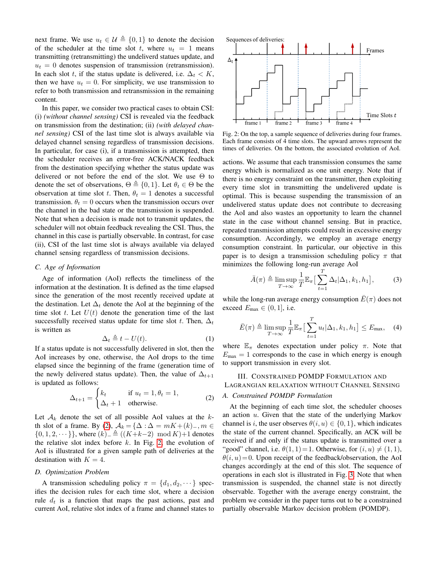next frame. We use  $u_t \in \mathcal{U} \triangleq \{0, 1\}$  to denote the decision of the scheduler at the time slot t, where  $u_t = 1$  means transmitting (retransmitting) the undeliverd statues update, and  $u_t = 0$  denotes suspension of transmission (retransmission). In each slot t, if the status update is delivered, i.e.  $\Delta_t < K$ , then we have  $u_t = 0$ . For simplicity, we use transmission to refer to both transmission and retransmission in the remaining content.

In this paper, we consider two practical cases to obtain CSI: (i) *(without channel sensing)* CSI is revealed via the feedback on transmission from the destination; (ii) *(with delayed channel sensing)* CSI of the last time slot is always available via delayed channel sensing regardless of transmission decisions. In particular, for case (i), if a transmission is attempted, then the scheduler receives an error-free ACK/NACK feedback from the destination specifying whether the status update was delivered or not before the end of the slot. We use Θ to denote the set of observations,  $\Theta \triangleq \{0, 1\}$ . Let  $\theta_t \in \Theta$  be the observation at time slot t. Then,  $\theta_t = 1$  denotes a successful transmission.  $\theta_t = 0$  occurs when the transmission occurs over the channel in the bad state or the transmission is suspended. Note that when a decision is made not to transmit updates, the scheduler will not obtain feedback revealing the CSI. Thus, the channel in this case is partially observable. In contrast, for case (ii), CSI of the last time slot is always available via delayed channel sensing regardless of transmission decisions.

### *C. Age of Information*

Age of information (AoI) reflects the timeliness of the information at the destination. It is defined as the time elapsed since the generation of the most recently received update at the destination. Let  $\Delta_t$  denote the AoI at the beginning of the time slot t. Let  $U(t)$  denote the generation time of the last successfully received status update for time slot t. Then,  $\Delta_t$ is written as

$$
\Delta_t \triangleq t - U(t). \tag{1}
$$

If a status update is not successfully delivered in slot, then the AoI increases by one, otherwise, the AoI drops to the time elapsed since the beginning of the frame (generation time of the newly delivered status update). Then, the value of  $\Delta_{t+1}$ is updated as follows:

$$
\Delta_{t+1} = \begin{cases} k_t & \text{if } u_t = 1, \theta_t = 1, \\ \Delta_t + 1 & \text{otherwise.} \end{cases}
$$
 (2)

Let  $A_k$  denote the set of all possible AoI values at the k-th slot of a frame. By [\(2\)](#page-2-1),  $A_k = {\Delta : \Delta = mK + (k)_-, m \in \Delta}$  $\{0, 1, 2, \dots\}$ , where  $(k) = \stackrel{\Delta}{=} ((K+k-2) \mod K)+1$  denotes the relative slot index before  $k$ . In Fig. [2,](#page-2-2) the evolution of AoI is illustrated for a given sample path of deliveries at the destination with  $K = 4$ .

#### *D. Optimization Problem*

A transmission scheduling policy  $\pi = \{d_1, d_2, \dots\}$  specifies the decision rules for each time slot, where a decision rule  $d_t$  is a function that maps the past actions, past and current AoI, relative slot index of a frame and channel states to

<span id="page-2-2"></span>

Fig. 2: On the top, a sample sequence of deliveries during four frames. Each frame consists of 4 time slots. The upward arrows represent the times of deliveries. On the bottom, the associated evolution of AoI.

actions. We assume that each transmission consumes the same energy which is normalized as one unit energy. Note that if there is no energy constraint on the transmitter, then exploiting every time slot in transmitting the undelivered update is optimal. This is because suspending the transmission of an undelivered status update does not contribute to decreasing the AoI and also wastes an opportunity to learn the channel state in the case without channel sensing. But in practice, repeated transmission attempts could result in excessive energy consumption. Accordingly, we employ an average energy consumption constraint. In particular, our objective in this paper is to design a transmission scheduling policy  $\pi$  that minimizes the following long-run average AoI

$$
\bar{A}(\pi) \triangleq \limsup_{T \to \infty} \frac{1}{T} \mathbb{E}_{\pi} \left[ \sum_{t=1}^{T} \Delta_t | \Delta_1, k_1, h_1 \right],\tag{3}
$$

while the long-run average energy consumption  $E(\pi)$  does not exceed  $E_{\text{max}} \in (0, 1]$ , i.e.

$$
\bar{E}(\pi) \triangleq \limsup_{T \to \infty} \frac{1}{T} \mathbb{E}_{\pi} \left[ \sum_{t=1}^{T} u_t | \Delta_1, k_1, h_1 \right] \le E_{\text{max}}, \quad (4)
$$

where  $\mathbb{E}_{\pi}$  denotes expectation under policy  $\pi$ . Note that  $E_{\text{max}} = 1$  corresponds to the case in which energy is enough to support transmission in every slot.

# <span id="page-2-0"></span>III. CONSTRAINED POMDP FORMULATION AND LAGRANGIAN RELAXATION WITHOUT CHANNEL SENSING

# <span id="page-2-1"></span>*A. Constrained POMDP Formulation*

At the beginning of each time slot, the scheduler chooses an action  $u$ . Given that the state of the underlying Markov channel is i, the user observes  $\theta(i, u) \in \{0, 1\}$ , which indicates the state of the current channel. Specifically, an ACK will be received if and only if the status update is transmitted over a "good" channel, i.e.  $\theta(1, 1) = 1$ . Otherwise, for  $(i, u) \neq (1, 1)$ ,  $\theta(i, u) = 0$ . Upon receipt of the feedback/observation, the AoI changes accordingly at the end of this slot. The sequence of operations in each slot is illustrated in Fig. [3.](#page-3-0) Note that when transmission is suspended, the channel state is not directly observable. Together with the average energy constraint, the problem we consider in the paper turns out to be a constrained partially observable Markov decision problem (POMDP).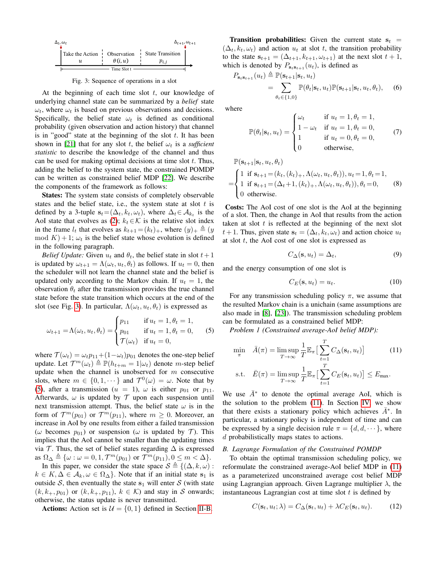<span id="page-3-0"></span>

| $\Delta_t, \omega_t$ |                               |                | $\Delta_{t+1}, \omega_{t+1}$         |  |
|----------------------|-------------------------------|----------------|--------------------------------------|--|
|                      | Take the Action   Observation | $\theta(i, u)$ | <b>State Transition</b><br>$p_{i,i}$ |  |
|                      |                               | Time Slot t    |                                      |  |

Fig. 3: Sequence of operations in a slot

At the beginning of each time slot  $t$ , our knowledge of underlying channel state can be summarized by a *belief* state  $\omega_t$ , where  $\omega_t$  is based on previous observations and decisions. Specifically, the belief state  $\omega_t$  is defined as conditional probability (given observation and action history) that channel is in "good" state at the beginning of the slot  $t$ . It has been shown in [\[21\]](#page-9-20) that for any slot t, the belief  $\omega_t$  is a *sufficient statistic* to describe the knowledge of the channel and thus can be used for making optimal decisions at time slot  $t$ . Thus, adding the belief to the system state, the constrained POMDP can be written as constrained belief MDP [\[22\]](#page-9-21). We describe the components of the framework as follows:

States: The system state consists of completely observable states and the belief state, i.e., the system state at slot  $t$  is defined by a 3-tuple  $\mathbf{s}_t = (\Delta_t, k_t, \omega_t)$ , where  $\Delta_t \in \mathcal{A}_{k_t}$  is the AoI state that evolves as [\(2\)](#page-2-1);  $k_t \in \mathcal{K}$  is the relative slot index in the frame  $l_t$  that evolves as  $k_{t+1} = (k_t)_+$ , where  $(y)_+ \triangleq (y)$ mod  $K$ ) + 1;  $\omega_t$  is the belief state whose evolution is defined in the following paragraph.

*Belief Update:* Given  $u_t$  and  $\theta_t$ , the belief state in slot  $t+1$ is updated by  $\omega_{t+1} = \Lambda(\omega_t, u_t, \theta_t)$  as follows. If  $u_t = 0$ , then the scheduler will not learn the channel state and the belief is updated only according to the Markov chain. If  $u_t = 1$ , the observation  $\theta_t$  after the transmission provides the true channel state before the state transition which occurs at the end of the slot (see Fig. [3\)](#page-3-0). In particular,  $\Lambda(\omega_t, u_t, \theta_t)$  is expressed as

$$
\omega_{t+1} = \Lambda(\omega_t, u_t, \theta_t) = \begin{cases} p_{11} & \text{if } u_t = 1, \theta_t = 1, \\ p_{01} & \text{if } u_t = 1, \theta_t = 0, \\ \mathcal{T}(\omega_t) & \text{if } u_t = 0, \end{cases} \tag{5}
$$

where  $\mathcal{T}(\omega_t) = \omega_t p_{11} + (1 - \omega_t) p_{01}$  denotes the one-step belief update. Let  $\mathcal{T}^m(\omega_t) \triangleq \mathbb{P}(h_{t+m} = 1 | \omega_t)$  denote m-step belief update when the channel is unobserved for  $m$  consecutive slots, where  $m \in \{0, 1, \dots\}$  and  $\mathcal{T}^0(\omega) = \omega$ . Note that by [\(5\)](#page-3-1), after a transmission ( $u = 1$ ),  $\omega$  is either  $p_{01}$  or  $p_{11}$ . Afterwards,  $\omega$  is updated by  $\mathcal T$  upon each suspension until next transmission attempt. Thus, the belief state  $\omega$  is in the form of  $\mathcal{T}^m(p_{01})$  or  $\mathcal{T}^m(p_{11})$ , where  $m \geq 0$ . Moreover, an increase in AoI by one results from either a failed transmission ( $\omega$  becomes  $p_{01}$ ) or suspension ( $\omega$  is updated by T). This implies that the AoI cannot be smaller than the updating times via  $\mathcal T$ . Thus, the set of belief states regarding  $\Delta$  is expressed as  $\Omega_{\Delta} \triangleq {\omega : \omega = 0, 1, \mathcal{T}^m(p_{01}) \text{ or } \mathcal{T}^m(p_{11}), 0 \le m < \Delta}.$ 

In this paper, we consider the state space  $S \triangleq \{(\Delta, k, \omega) :$  $k \in K$ ,  $\Delta \in \mathcal{A}_k$ ,  $\omega \in \Omega$  $\Delta$ . Note that if an initial state  $s_1$  is outside S, then eventually the state  $s_1$  will enter S (with state  $(k, k_{+}, p_{01})$  or  $(k, k_{+}, p_{11}), k \in \mathcal{K}$  and stay in S onwards; otherwise, the status update is never transmitted.

**Actions:** Action set is  $\mathcal{U} = \{0, 1\}$  defined in Section [II-B.](#page-1-2)

**Transition probabilities:** Given the current state  $s_t$  =  $(\Delta_t, k_t, \omega_t)$  and action  $u_t$  at slot t, the transition probability to the state  $s_{t+1} = (\Delta_{t+1}, k_{t+1}, \omega_{t+1})$  at the next slot  $t+1$ , which is denoted by  $P_{s_ts_{t+1}}(u_t)$ , is defined as

$$
P_{\mathbf{s}_t \mathbf{s}_{t+1}}(u_t) \triangleq \mathbb{P}(\mathbf{s}_{t+1}|\mathbf{s}_t, u_t)
$$
  
= 
$$
\sum_{\theta_t \in \{1, 0\}} \mathbb{P}(\theta_t|\mathbf{s}_t, u_t) \mathbb{P}(\mathbf{s}_{t+1}|\mathbf{s}_t, u_t, \theta_t),
$$
 (6)

where

 $\mathbb{D}(s, \dots | s, u, \theta)$ 

<span id="page-3-3"></span>
$$
\mathbb{P}(\theta_t | \mathbf{s}_t, u_t) = \begin{cases} \omega_t & \text{if } u_t = 1, \theta_t = 1, \\ 1 - \omega_t & \text{if } u_t = 1, \theta_t = 0, \\ 1 & \text{if } u_t = 0, \theta_t = 0, \\ 0 & \text{otherwise,} \end{cases}
$$
(7)

$$
= \begin{cases} 1 \text{ if } s_{t+1} = (k_t, (k_t)_+, \Lambda(\omega_t, u_t, \theta_t)), u_t = 1, \theta_t = 1, \\ 1 \text{ if } s_{t+1} = (\Delta_t + 1, (k_t)_+, \Lambda(\omega_t, u_t, \theta_t)), \theta_t = 0, \\ 0 \text{ otherwise.} \end{cases}
$$
 (8)

Costs: The AoI cost of one slot is the AoI at the beginning of a slot. Then, the change in AoI that results from the action taken at slot  $t$  is reflected at the beginning of the next slot  $t+1$ . Thus, given state  $s_t = (\Delta_t, k_t, \omega_t)$  and action choice  $u_t$ at slot  $t$ , the AoI cost of one slot is expressed as

$$
C_{\Delta}(\mathbf{s}, u_t) = \Delta_t,\tag{9}
$$

and the energy consumption of one slot is

<span id="page-3-2"></span>
$$
C_E(\mathbf{s}, u_t) = u_t. \tag{10}
$$

For any transmission scheduling policy  $\pi$ , we assume that the resulted Markov chain is a unichain (same assumptions are also made in [\[8\]](#page-9-7), [\[23\]](#page-9-22)). The transmission scheduling problem can be formulated as a constrained belief MDP:

<span id="page-3-1"></span>*Problem 1 (Constrained average-AoI belief MDP):*

$$
\min_{\pi} \quad \bar{A}(\pi) = \limsup_{T \to \infty} \frac{1}{T} \mathbb{E}_{\pi} \Big[ \sum_{t=1}^{T} C_{\Delta}(\mathbf{s}_t, u_t) \Big] \tag{11}
$$
\n
$$
\text{s.t.} \quad \bar{E}(\pi) = \limsup_{T \to \infty} \frac{1}{T} \mathbb{E}_{\pi} \Big[ \sum_{t=1}^{T} C_E(\mathbf{s}_t, u_t) \Big] \le E_{\text{max}}.
$$

We use  $\bar{A}^*$  to denote the optimal average AoI, which is the solution to the problem [\(11\)](#page-3-2). In Section [IV,](#page-4-0) we show that there exists a stationary policy which achieves  $\bar{A}^*$ . In particular, a stationary policy is independent of time and can be expressed by a single decision rule  $\pi = \{d, d, \dots\}$ , where d probabilistically maps states to actions.

#### <span id="page-3-4"></span>*B. Lagrange Formulation of the Constrained POMDP*

To obtain the optimal transmission scheduling policy, we reformulate the constrained average-AoI belief MDP in [\(11\)](#page-3-2) as a parameterized unconstrained average cost belief MDP using Lagrangian approach. Given Lagrange multiplier  $\lambda$ , the instantaneous Lagrangian cost at time slot  $t$  is defined by

$$
C(\mathbf{s}_t, u_t; \lambda) = C_{\Delta}(\mathbf{s}_t, u_t) + \lambda C_E(\mathbf{s}_t, u_t).
$$
 (12)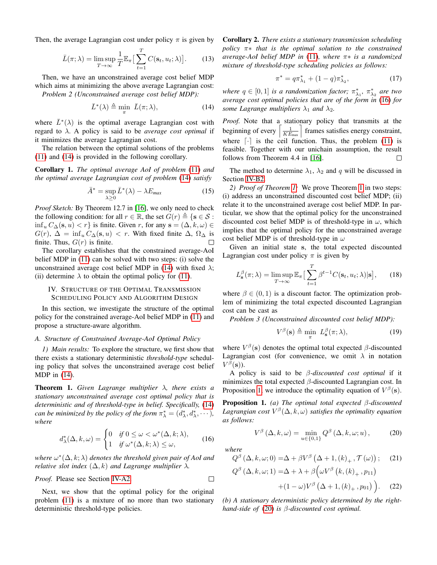Then, the average Lagrangian cost under policy  $\pi$  is given by

$$
\bar{L}(\pi; \lambda) = \limsup_{T \to \infty} \frac{1}{T} \mathbb{E}_{\pi} \left[ \sum_{t=1}^{T} C(\mathbf{s}_t, u_t; \lambda) \right]. \tag{13}
$$

Then, we have an unconstrained average cost belief MDP which aims at minimizing the above average Lagrangian cost:

*Problem 2 (Unconstrained average cost belief MDP):*

$$
\bar{L}^*(\lambda) \triangleq \min_{\pi} \ \bar{L}(\pi; \lambda), \tag{14}
$$

where  $\bar{L}^*(\lambda)$  is the optimal average Lagrangian cost with regard to λ. A policy is said to be *average cost optimal* if it minimizes the average Lagrangian cost.

The relation between the optimal solutions of the problems [\(11\)](#page-3-2) and [\(14\)](#page-4-1) is provided in the following corollary.

Corollary 1. *The optimal average AoI of problem* [\(11\)](#page-3-2) *and the optimal average Lagrangian cost of problem* [\(14\)](#page-4-1) *satisfy*

$$
\bar{A}^* = \sup_{\lambda \ge 0} \bar{L}^*(\lambda) - \lambda E_{\text{max}} \tag{15}
$$

*Proof Sketch:* By Theorem 12.7 in [\[16\]](#page-9-15), we only need to check the following condition: for all  $r \in \mathbb{R}$ , the set  $G(r) \triangleq \{s \in \mathcal{S}$ :  $\inf_u C_{\Delta}(\mathbf{s}, u) < r$  is finite. Given r, for any  $\mathbf{s} = (\Delta, k, \omega) \in$  $G(r)$ ,  $\Delta = \inf_{u} C_{\Delta}(\mathbf{s}, u) < r$ . With fixed finite  $\Delta$ ,  $\Omega_{\Delta}$  is finite. Thus,  $G(r)$  is finite.  $\Box$ 

The corollary establishes that the constrained average-AoI belief MDP in [\(11\)](#page-3-2) can be solved with two steps: (i) solve the unconstrained average cost belief MDP in [\(14\)](#page-4-1) with fixed  $\lambda$ ; (ii) determine  $\lambda$  to obtain the optimal policy for [\(11\)](#page-3-2).

# <span id="page-4-0"></span>IV. STRUCTURE OF THE OPTIMAL TRANSMISSION SCHEDULING POLICY AND ALGORITHM DESIGN

In this section, we investigate the structure of the optimal policy for the constrained average-AoI belief MDP in [\(11\)](#page-3-2) and propose a structure-aware algorithm.

#### <span id="page-4-8"></span>*A. Structure of Constrained Average-AoI Optimal Policy*

*1) Main results:* To explore the structure, we first show that there exists a stationary deterministic *threshold-type* scheduling policy that solves the unconstrained average cost belief MDP in [\(14\)](#page-4-1).

<span id="page-4-4"></span>Theorem 1. *Given Lagrange multiplier* λ*, there exists a stationary unconstrained average cost optimal policy that is deterministic and of threshold-type in belief. Specifically,* [\(14\)](#page-4-1) *can be minimized by the policy of the form*  $\pi_{\lambda}^{*} = (d_{\lambda}^{*}, d_{\lambda}^{*}, \dots)$ *, where*

$$
d_{\lambda}^*(\Delta, k, \omega) = \begin{cases} 0 & \text{if } 0 \le \omega < \omega^*(\Delta, k; \lambda), \\ 1 & \text{if } \omega^*(\Delta, k; \lambda) \le \omega, \end{cases} \tag{16}
$$

where  $\omega^*(\Delta, k; \lambda)$  *denotes the threshold given pair of AoI and relative slot index*  $(\Delta, k)$  *and Lagrange multiplier*  $\lambda$ *.* 

*Proof.* Please see Section [IV-A2.](#page-4-2)

Next, we show that the optimal policy for the original problem [\(11\)](#page-3-2) is a mixture of no more than two stationary deterministic threshold-type policies.

<span id="page-4-7"></span>Corollary 2. *There exists a stationary transmission scheduling policy* π∗ *that is the optimal solution to the constrained average-AoI belief MDP in* [\(11\)](#page-3-2)*, where* π∗ *is a randomized mixture of threshold-type scheduling policies as follows:*

$$
\pi^* = q \pi_{\lambda_1}^* + (1 - q) \pi_{\lambda_2}^*,\tag{17}
$$

<span id="page-4-1"></span>where  $q \in [0,1]$  *is a randomization factor*;  $\pi_{\lambda_1}^*$ ,  $\pi_{\lambda_2}^*$  *are two average cost optimal policies that are of the form in* [\(16\)](#page-4-3) *for some Lagrange multipliers*  $\lambda_1$  *and*  $\lambda_2$ *.* 

*Proof.* Note that a stationary policy that transmits at the beginning of every  $\left[\frac{1}{K E_{\text{max}}}\right]$  frames satisfies energy constraint, where  $\lceil \cdot \rceil$  is the ceil function. Thus, the problem [\(11\)](#page-3-2) is feasible. Together with our unichain assumption, the result follows from Theorem 4.4 in [\[16\]](#page-9-15).  $\Box$ 

The method to determine  $\lambda_1$ ,  $\lambda_2$  and q will be discussed in Section [IV-B2.](#page-6-0)

<span id="page-4-2"></span>*2) Proof of Theorem [1:](#page-4-4)* We prove Theorem [1](#page-4-4) in two steps: (i) address an unconstrained discounted cost belief MDP; (ii) relate it to the unconstrained average cost belief MDP. In particular, we show that the optimal policy for the unconstrained discounted cost belief MDP is of threshold-type in  $\omega$ , which implies that the optimal policy for the unconstrained average cost belief MDP is of threshold-type in  $\omega$ 

Given an initial state s, the total expected discounted Lagrangian cost under policy  $\pi$  is given by

$$
L_{\mathbf{s}}^{\beta}(\pi;\lambda) = \limsup_{T \to \infty} \mathbb{E}_{\pi} \left[ \sum_{t=1}^{T} \beta^{t-1} C(\mathbf{s}_t, u_t; \lambda) | \mathbf{s} \right],\qquad(18)
$$

where  $\beta \in (0, 1)$  is a discount factor. The optimization problem of minimizing the total expected discounted Lagrangian cost can be cast as

*Problem 3 (Unconstrained discounted cost belief MDP):*

<span id="page-4-9"></span>
$$
V^{\beta}(\mathbf{s}) \triangleq \min_{\pi} \ L_{\mathbf{s}}^{\beta}(\pi; \lambda), \tag{19}
$$

where  $V^{\beta}$ (s) denotes the optimal total expected  $\beta$ -discounted Lagrangian cost (for convenience, we omit  $\lambda$  in notation  $V^{\beta}(\mathbf{s})$ ).

A policy is said to be β*-discounted cost optimal* if it minimizes the total expected  $\beta$ -discounted Lagrangian cost. In Proposition [1,](#page-4-5) we introduce the optimality equation of  $V^{\beta}(\mathbf{s})$ .

<span id="page-4-5"></span>Proposition 1. *(a) The optimal total expected* β*-discounted* Lagrangian cost  $V^{\beta}(\Delta, k, \omega)$  satisfies the optimality equation *as follows:*

<span id="page-4-6"></span>
$$
V^{\beta}\left(\Delta,k,\omega\right) = \min_{u \in \{0,1\}} Q^{\beta}\left(\Delta,k,\omega;u\right),\tag{20}
$$

<span id="page-4-3"></span>*where*

 $\Box$ 

$$
Q^{\beta}\left(\Delta,k,\omega;0\right) = \Delta + \beta V^{\beta}\left(\Delta+1,(k)_{+},\mathcal{T}\left(\omega\right)\right); \quad (21)
$$

$$
Q^{\beta} (\Delta, k, \omega; 1) = \Delta + \lambda + \beta \Big( \omega V^{\beta} (k, (k)_{+}, p_{11}) + (1 - \omega) V^{\beta} (\Delta + 1, (k)_{+}, p_{01}) \Big).
$$
 (22)

*(b) A stationary deterministic policy determined by the righthand-side of* [\(20\)](#page-4-6) *is* β*-discounted cost optimal.*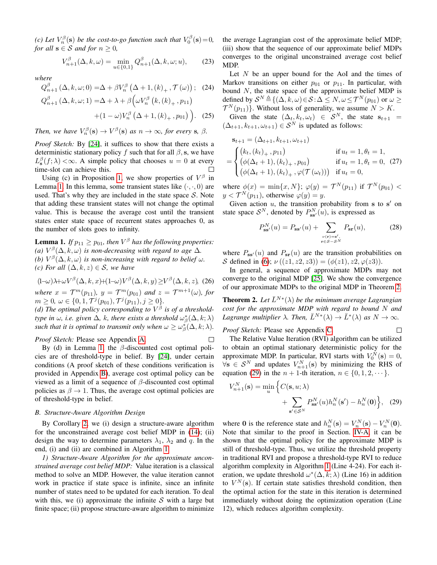(c) Let  $V_n^{\beta}(\mathbf{s})$  be the cost-to-go function such that  $V_0^{\beta}(\mathbf{s}) = 0$ , *for all*  $s \in S$  *and for*  $n \geq 0$ *,* 

$$
V_{n+1}^{\beta}(\Delta, k, \omega) = \min_{u \in \{0, 1\}} Q_{n+1}^{\beta}(\Delta, k, \omega; u), \quad (23)
$$

*where*

$$
Q_{n+1}^{\beta} (\Delta, k, \omega; 0) = \Delta + \beta V_n^{\beta} (\Delta + 1, (k)_+, \mathcal{T}(\omega)); \quad (24)
$$
  

$$
Q_{n+1}^{\beta} (\Delta, k, \omega; 1) = \Delta + \lambda + \beta \left( \omega V_n^{\beta} (k, (k)_+, p_{11}) \right)
$$

$$
\beta_{n+1} (\Delta, k, \omega; 1) = \Delta + \lambda + \beta \Big( \omega V_n^{\beta} (k, (k)_+, p_{11}) + (1 - \omega) V_n^{\beta} (\Delta + 1, (k)_+, p_{01}) \Big). \tag{25}
$$

*Then, we have*  $V_n^{\beta}(\mathbf{s}) \to V^{\beta}(\mathbf{s})$  *as*  $n \to \infty$ *, for every s*,  $\beta$ *.* 

*Proof Sketch:* By [\[24\]](#page-9-23), it suffices to show that there exists a deterministic stationary policy f such that for all  $\beta$ , s, we have  $L_{\mathbf{s}}^{\beta}(f; \lambda) < \infty$ . A simple policy that chooses  $u = 0$  at every time-slot can achieve this.  $\Box$ 

Using (c) in Proposition [1,](#page-4-5) we show properties of  $V^{\beta}$  in Lemma [1.](#page-5-1) In this lemma, some transient states like  $(\cdot, \cdot, 0)$  are used. That's why they are included in the state space  $S$ . Note that adding these transient states will not change the optimal value. This is because the average cost until the transient states enter state space of recurrent states approaches 0, as the number of slots goes to infinity.

<span id="page-5-1"></span>**Lemma 1.** *If*  $p_{11} \geq p_{01}$ , then  $V^{\beta}$  has the following properties: (*a*)  $V<sup>β</sup>(Δ, k, ω)$  *is non-decreasing with regard to age* Δ*.* (b)  $V^{\beta}(\Delta, k, \omega)$  *is non-increasing with regard to belief*  $\omega$ *. (c)* For all  $(∆, k, z) ∈ S$ *, we have* 

 $(1-\omega)\lambda+\omega V^{\beta}(\Delta, k, x)+(1-\omega)V^{\beta}(\Delta, k, y)\geq V^{\beta}(\Delta, k, z)$ , (26) *where*  $x = \mathcal{T}^m(p_{11})$ ,  $y = \mathcal{T}^m(p_{01})$  and  $z = \mathcal{T}^{m+1}(\omega)$ , for  $m \geq 0, \ \omega \in \{0, 1, \mathcal{T}^j(p_{01}), \mathcal{T}^j(p_{11}), j \geq 0\}.$ 

(*d*) The optimal policy corresponding to  $V^{\beta}$  is of a threshold*type in*  $\omega$ *, i.e. given*  $\Delta$ *, k, there exists a threshold*  $\omega_{\beta}^{*}(\Delta, k; \lambda)$ such that it is optimal to transmit only when  $\omega \geq \omega_{\beta}^{*}(\Delta, k; \lambda)$ .

*Proof Sketch:* Please see Appendix [A.](#page-8-0)  $\Box$ 

By (d) in Lemma [1,](#page-5-1) the  $\beta$ -discounted cost optimal policies are of threshold-type in belief. By [\[24\]](#page-9-23), under certain conditions (A proof sketch of these conditions verification is provided in Appendix [B\)](#page-8-1), average cost optimal policy can be viewed as a limit of a sequence of  $\beta$ -discounted cost optimal policies as  $\beta \rightarrow 1$ . Thus, the average cost optimal policies are of threshold-type in belief.

# <span id="page-5-0"></span>*B. Structure-Aware Algorithm Design*

By Corollary [2,](#page-4-7) we (i) design a structure-aware algorithm for the unconstrained average cost belief MDP in [\(14\)](#page-4-1); (ii) design the way to determine parameters  $\lambda_1$ ,  $\lambda_2$  and q. In the end, (i) and (ii) are combined in Algorithm [1.](#page-6-1)

<span id="page-5-4"></span>*1) Structure-Aware Algorithm for the approximate unconstrained average cost belief MDP:* Value iteration is a classical method to solve an MDP. However, the value iteration cannot work in practice if state space is infinite, since an infinite number of states need to be updated for each iteration. To deal with this, we (i) approximate the infinite  $S$  with a large but finite space; (ii) propose structure-aware algorithm to minimize the average Lagrangian cost of the approximate belief MDP; (iii) show that the sequence of our approximate belief MDPs converges to the original unconstrained average cost belief MDP.

<span id="page-5-5"></span>Let  $N$  be an upper bound for the AoI and the times of Markov transitions on either  $p_{01}$  or  $p_{11}$ . In particular, with bound  $N$ , the state space of the approximate belief MDP is defined by  $S^N \triangleq \{(\Delta, k, \omega) \in S : \Delta \leq N, \omega \leq \mathcal{T}^N(p_{01}) \text{ or } \omega \geq \mathcal{T}^N(p_{01})\}$  $\mathcal{T}^{N}(p_{11})\}$ . Without loss of generality, we assume  $N > K$ . Given the state  $(\Delta_t, k_t, \omega_t) \in S^N$ , the state  $s_{t+1}$  $(\Delta_{t+1}, k_{t+1}, \omega_{t+1}) \in S^N$  is updated as follows:

<span id="page-5-6"></span>
$$
\mathbf{s}_{t+1} = (\Delta_{t+1}, k_{t+1}, \omega_{t+1})
$$
\n
$$
= \begin{cases}\n(k_t, (k_t)_+, p_{11}) & \text{if } u_t = 1, \theta_t = 1, \\
(\phi(\Delta_t + 1), (k_t)_+, p_{01}) & \text{if } u_t = 1, \theta_t = 0, \\
(\phi(\Delta_t + 1), (k_t)_+, \varphi(\mathcal{T}(\omega_t))) & \text{if } u_t = 0,\n\end{cases}
$$
\n(27)

where  $\phi(x) = \min\{x, N\}$ ;  $\varphi(y) = \mathcal{T}^N(p_{11})$  if  $\mathcal{T}^N(p_{01})$  <  $y < \mathcal{T}^{N}(p_{11})$ , otherwise  $\varphi(y) = y$ .

Given action  $u$ , the transition probability from s to s' on state space  $S^N$ , denoted by  $P_{ss'}^N(u)$ , is expressed as

$$
P_{\mathbf{ss}'}^{N}(u) = P_{\mathbf{ss}'}(u) + \sum_{\substack{\nu(\mathbf{r}) = \mathbf{s}',\\ \mathbf{r} \in \mathcal{S} - \mathcal{S}^{N}}} P_{\mathbf{sr}}(u),\tag{28}
$$

<span id="page-5-3"></span> $\Box$ 

where  $P_{ss}(u)$  and  $P_{sr}(u)$  are the transition probabilities on S defined in [\(6\)](#page-3-3);  $\nu((z1, z2, z3)) = (\phi(z1), z2, \phi(z3)).$ 

In general, a sequence of approximate MDPs may not converge to the original MDP [\[25\]](#page-9-24). We show the convergence of our approximate MDPs to the original MDP in Theorem [2.](#page-5-2)

<span id="page-5-2"></span>**Theorem 2.** Let  $\bar{L}^{N*}(\lambda)$  be the minimum average Lagrangian *cost for the approximate MDP with regard to bound* N *and Lagrange multiplier*  $\lambda$ *. Then,*  $\overline{L}^{N*}(\lambda) \to \overline{L}^{*}(\lambda)$  *as*  $N \to \infty$ *.* 

*Proof Sketch:* Please see Appendix [C.](#page-8-2)

The Relative Value Iteration (RVI) algorithm can be utilized to obtain an optimal stationary deterministic policy for the approximate MDP. In particular, RVI starts with  $V_0^N(\mathbf{s}) = 0$ ,  $\forall s \in \mathcal{S}^N$  and updates  $V^N_{n+1}(s)$  by minimizing the RHS of equation [\(29\)](#page-5-3) in the  $n + 1$ -th iteration,  $n \in \{0, 1, 2, \dots\}$ .

$$
V_{n+1}^{N}(\mathbf{s}) = \min_{u} \left\{ C(\mathbf{s}, u; \lambda) + \sum_{\mathbf{s}' \in \mathcal{S}^{N}} P_{\mathbf{s}\mathbf{s}'}^{N}(u) h_{n}^{N}(\mathbf{s}') - h_{n}^{N}(\mathbf{0}) \right\}, \quad (29)
$$

where 0 is the reference state and  $h_n^N(\mathbf{s}) = V_n^N(\mathbf{s}) - V_n^N(\mathbf{0})$ . Note that similar to the proof in Section. [IV-A,](#page-4-8) it can be shown that the optimal policy for the approximate MDP is still of threshold-type. Thus, we utilize the threshold property in traditional RVI and propose a threshold-type RVI to reduce algorithm complexity in Algorithm [1](#page-6-1) (Line 4-24). For each iteration, we update threshold  $\omega^*(\Delta, k; \lambda)$  (Line 16) in addition to  $V^N(\mathbf{s})$ . If certain state satisfies threshold condition, then the optimal action for the state in this iteration is determined immediately without doing the optimization operation (Line 12), which reduces algorithm complexity.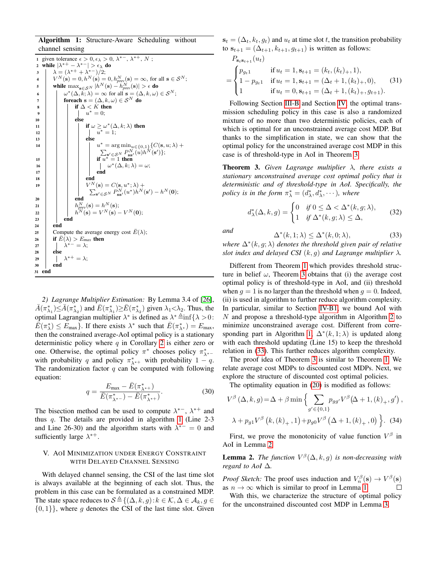Algorithm 1: Structure-Aware Scheduling without channel sensing

<span id="page-6-1"></span>

| 1                       | given tolerance $\epsilon > 0, \epsilon_{\lambda} > 0, \lambda^{*-}, \lambda^{*+}, N$ ;                                                                                            |  |  |  |  |  |
|-------------------------|------------------------------------------------------------------------------------------------------------------------------------------------------------------------------------|--|--|--|--|--|
| $\overline{a}$          | while $ \lambda^{*+} - \lambda^{*-}  > \epsilon_{\lambda}$ do                                                                                                                      |  |  |  |  |  |
| 3                       | $\lambda = (\lambda^{*+} + \lambda^{*-})/2;$                                                                                                                                       |  |  |  |  |  |
| $\overline{\mathbf{4}}$ | $V^N(\mathbf{s}) = 0, h^N(\mathbf{s}) = 0, h^N_{prev}(\mathbf{s}) = \infty$ , for all $\mathbf{s} \in \mathcal{S}^N$ ;                                                             |  |  |  |  |  |
| 5                       | while $\max_{\mathbf{s}\in\mathcal{S}^N} h^N(\mathbf{s})-h^N_{prev}(\mathbf{s}) >\epsilon$ do                                                                                      |  |  |  |  |  |
| 6                       | $\omega^*(\Delta, k; \lambda) = \infty$ for all $\mathbf{s} = (\Delta, k, \omega) \in \mathcal{S}^N$ ;                                                                             |  |  |  |  |  |
| 7                       | foreach $\mathbf{s} = (\Delta, k, \omega) \in \mathcal{S}^N$ do                                                                                                                    |  |  |  |  |  |
| 8                       | if $\Delta$ < K then                                                                                                                                                               |  |  |  |  |  |
| 9                       | $u^* = 0$ :                                                                                                                                                                        |  |  |  |  |  |
| 10                      | else                                                                                                                                                                               |  |  |  |  |  |
| 11                      | if $\omega \geq \omega^*(\Delta, k; \lambda)$ then                                                                                                                                 |  |  |  |  |  |
| 12                      | $u^* = 1$ ;                                                                                                                                                                        |  |  |  |  |  |
| 13                      | else                                                                                                                                                                               |  |  |  |  |  |
| 14                      | $\begin{array}{l} u^* = \arg \min_{u \in \{0,1\}} \{ C(\mathbf{s},u;\lambda) + \\ \sum_{\mathbf{s}' \in \mathcal{S}^{N}} P_{\mathbf{ss}'}^{N}(u) h^N(\mathbf{s}') \}; \end{array}$ |  |  |  |  |  |
|                         |                                                                                                                                                                                    |  |  |  |  |  |
| 15                      | if $u^* = 1$ then                                                                                                                                                                  |  |  |  |  |  |
| 16                      | $\omega^*(\Delta, k; \lambda) = \omega;$                                                                                                                                           |  |  |  |  |  |
| 17                      | end                                                                                                                                                                                |  |  |  |  |  |
| 18                      | end                                                                                                                                                                                |  |  |  |  |  |
| 19                      | $V^N(\mathbf{s}) = C(\mathbf{s}, u^*; \lambda) +$                                                                                                                                  |  |  |  |  |  |
|                         | $\sum_{\mathbf{s}'\in\mathcal{S}^{N}}P_{\mathbf{s}\mathbf{s}'}^{N}(u^{*})h^{N}(\mathbf{s}')-h^{N}(\mathbf{0});$                                                                    |  |  |  |  |  |
| 20                      | end                                                                                                                                                                                |  |  |  |  |  |
| 21                      | $h_{prev}^N(\mathbf{s}) = h^N(\mathbf{s});$                                                                                                                                        |  |  |  |  |  |
| 22                      | $h^{N}(\mathbf{s}) = V^{N}(\mathbf{s}) - V^{N}(\mathbf{0});$                                                                                                                       |  |  |  |  |  |
| 23                      | end                                                                                                                                                                                |  |  |  |  |  |
| 24                      | end                                                                                                                                                                                |  |  |  |  |  |
| 25                      | Compute the average energy cost $E(\lambda)$ ;                                                                                                                                     |  |  |  |  |  |
| 26                      | if $E(\lambda) > E_{max}$ then                                                                                                                                                     |  |  |  |  |  |
| 27                      | $\lambda^{*-} = \lambda$ :                                                                                                                                                         |  |  |  |  |  |
| 28                      | else                                                                                                                                                                               |  |  |  |  |  |
| 29                      | $\lambda^{*+} = \lambda$                                                                                                                                                           |  |  |  |  |  |
| 30                      | end                                                                                                                                                                                |  |  |  |  |  |
| end<br>31               |                                                                                                                                                                                    |  |  |  |  |  |

<span id="page-6-0"></span>*2) Lagrange Multiplier Estimation:* By Lemma 3.4 of [\[26\]](#page-9-25),  $\bar{A}(\pi_{\lambda_1}^*)\leq \bar{A}(\pi_{\lambda_2}^*)$  and  $\bar{E}(\pi_{\lambda_1}^*)\geq \bar{E}(\pi_{\lambda_2}^*)$  given  $\lambda_1<\lambda_2$ . Thus, the optimal Lagrangian multiplier  $\lambda^*$  is defined as  $\lambda^* \triangleq \inf \{ \lambda > 0$ :  $\bar{E}(\pi_{\lambda}^{*}) \le E_{\text{max}}\}.$  If there exists  $\lambda^{*}$  such that  $\bar{E}(\pi_{\lambda^{*}}^{*}) = E_{\text{max}}$ , then the constrained average-AoI optimal policy is a stationary deterministic policy where  $q$  in Corollary [2](#page-4-7) is either zero or one. Otherwise, the optimal policy  $\pi^*$  chooses policy  $\pi^*_{\lambda^{*-}}$ with probability q and policy  $\pi_{\lambda^{*+}}^{*}$  with probability  $1-q$ . The randomization factor  $q$  can be computed with following equation:

$$
q = \frac{E_{\text{max}} - \bar{E}(\pi_{\lambda^{*+}}^*)}{\bar{E}(\pi_{\lambda^{*-}}^*) - \bar{E}(\pi_{\lambda^{*+}}^*)}.
$$
\n(30)

The bisection method can be used to compute  $\lambda^{*-}$ ,  $\lambda^{*+}$  and thus  $q$ . The details are provided in algorithm [1](#page-6-1) (Line 2-3) and Line 26-30) and the algorithm starts with  $\lambda^{*-} = 0$  and sufficiently large  $\lambda^{*+}$ .

## V. AOI MINIMIZATION UNDER ENERGY CONSTRAINT WITH DELAYED CHANNEL SENSING

With delayed channel sensing, the CSI of the last time slot is always available at the beginning of each slot. Thus, the problem in this case can be formulated as a constrained MDP. The state space reduces to  $S \triangleq \{(\Delta, k, g):k \in \mathcal{K}, \Delta \in \mathcal{A}_k, g \in$  $\{0, 1\}$ , where g denotes the CSI of the last time slot. Given  $\mathbf{s}_t = (\Delta_t, k_t, g_t)$  and  $u_t$  at time slot t, the transition probability to  $s_{t+1} = (\Delta_{t+1}, k_{t+1}, q_{t+1})$  is written as follows:

$$
P_{\mathbf{s}_{t}\mathbf{s}_{t+1}}(u_{t})
$$
  
= 
$$
\begin{cases} p_{g_{t}1} & \text{if } u_{t} = 1, \mathbf{s}_{t+1} = (k_{t}, (k_{t})_{+}, 1), \\ 1 - p_{g_{t}1} & \text{if } u_{t} = 1, \mathbf{s}_{t+1} = (\Delta_{t} + 1, (k_{t})_{+}, 0), \\ 1 & \text{if } u_{t} = 0, \mathbf{s}_{t+1} = (\Delta_{t} + 1, (k_{t})_{+}, g_{t+1}). \end{cases}
$$
(31)

Following Section [III-B](#page-3-4) and Section [IV,](#page-4-0) the optimal transmission scheduling policy in this case is also a randomized mixture of no more than two deterministic policies, each of which is optimal for an unconstrained average cost MDP. But thanks to the simplification in state, we can show that the optimal policy for the unconstrained average cost MDP in this case is of threshold-type in AoI in Theorem [3.](#page-6-2)

<span id="page-6-2"></span>Theorem 3. *Given Lagrange multiplier* λ*, there exists a stationary unconstrained average cost optimal policy that is deterministic and of threshold-type in AoI. Specifically, the policy is in the form*  $\pi_{\lambda}^{*} = (d_{\lambda}^{*}, d_{\lambda}^{*}, \dots)$ *, where* 

<span id="page-6-3"></span>
$$
d_{\lambda}^{*}(\Delta, k, g) = \begin{cases} 0 & \text{if } 0 \leq \Delta < \Delta^{*}(k, g; \lambda), \\ 1 & \text{if } \Delta^{*}(k, g; \lambda) \leq \Delta, \end{cases}
$$
 (32)

and 
$$
\Delta^*(k, 1; \lambda) \le \Delta^*(k, 0; \lambda), \tag{33}
$$

*where* ∆<sup>∗</sup> (k, g; λ) *denotes the threshold given pair of relative slot index and delayed CSI*  $(k, g)$  *and Lagrange multiplier*  $\lambda$ *.* 

Different from Theorem [1](#page-4-4) which provides threshold structure in belief  $\omega$ , Theorem [3](#page-7-1) obtains that (i) the average cost optimal policy is of threshold-type in AoI, and (ii) threshold when  $q = 1$  is no larger than the threshold when  $q = 0$ . Indeed, (ii) is used in algorithm to further reduce algorithm complexity. In particular, similar to Section [IV-B1,](#page-5-4) we bound AoI with  $N$  and propose a threshold-type algorithm in Algorithm [2](#page-7-2) to minimize unconstrained average cost. Different from corre-sponding part in Algorithm [1,](#page-6-1)  $\Delta^*(k, 1; \lambda)$  is updated along with each threshold updating (Line 15) to keep the threshold relation in [\(33\)](#page-6-3). This further reduces algorithm complexity.

The proof idea of Theorem [3](#page-7-1) is similar to Theorem [1.](#page-4-4) We relate average cost MDPs to discounted cost MDPs. Next, we explore the structure of discounted cost optimal policies.

The optimality equation in [\(20\)](#page-4-6) is modified as follows:

$$
V^{\beta} (\Delta, k, g) = \Delta + \beta \min \left\{ \sum_{g' \in \{0, 1\}} p_{gg'} V^{\beta} (\Delta + 1, (k)_+, g') \right\},\
$$

$$
\lambda + p_{g1} V^{\beta} (k, (k)_+, 1) + p_{g0} V^{\beta} (\Delta + 1, (k)_+, 0) \left.\right\}. (34)
$$

First, we prove the monotonicity of value function  $V^{\beta}$  in AoI in Lemma [2.](#page-6-4)

<span id="page-6-4"></span>**Lemma 2.** *The function*  $V^{\beta}(\Delta, k, g)$  *is non-decreasing with regard to AoI* ∆*.*

*Proof Sketch:* The proof uses induction and  $V_n^{\beta}(\mathbf{s}) \to V^{\beta}(\mathbf{s})$ as  $n \to \infty$  which is similar to proof in Lemma [1.](#page-5-1)  $\Box$ 

With this, we characterize the structure of optimal policy for the unconstrained discounted cost MDP in Lemma [3.](#page-7-1)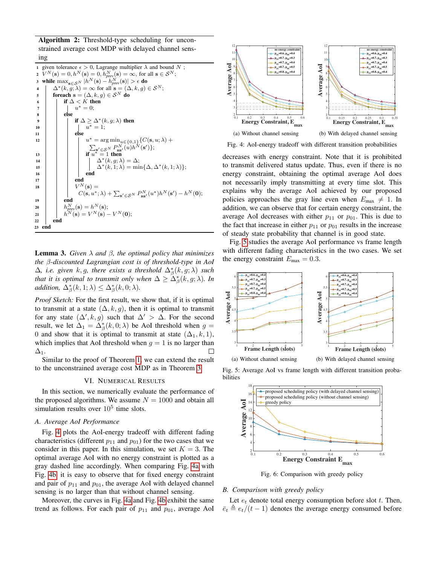Algorithm 2: Threshold-type scheduling for unconstrained average cost MDP with delayed channel sensing

<span id="page-7-2"></span>1 given tolerance  $\epsilon > 0$ , Lagrange multiplier  $\lambda$  and bound N; 2  $V^N(\mathbf{s}) = 0, h^N(\mathbf{s}) = 0, h^N_{prev}(\mathbf{s}) = \infty$ , for all  $\mathbf{s} \in \mathcal{S}^N$ ; 3 while  $\max_{\mathbf{s}\in\mathcal{S}^{N}}|h^{N}(\mathbf{s})-h^{N}_{prev}(\mathbf{s})|>\epsilon$  do  $\mathbf{A} \quad | \quad \Delta^*(k, g; \lambda) = \infty \text{ for all } \mathbf{s} = (\Delta, k, g) \in \mathcal{S}^N;$ 5  $\int$  foreach s =  $(\Delta, k, g) \in S^N$  do 6 if  $\Delta < K$  then  $7 \mid \cdot \mid \cdot \mid u^* = 0;$ 8 else 9 if  $\Delta \geq \Delta^*(k, g; \lambda)$  then 10  $\vert$   $\vert$   $\vert$   $\vert$   $\vert$   $\bar{u^*} = 1;$  $11$  else <sup>12</sup> u ∗  $\sum_{}^{}% \left( \sum_{}^{}% \left( \sum_{}^{}% \left( \sum_{}^{}% \left( \sum_{}^{}% \left( \sum_{}^{}% \left( \sum_{}^{}% \left( \sum_{}^{}% \left( \sum_{}^{}% \left( \sum_{}^{}% \right) \right) \right) \right) \right) \right) \right) \right)$  $=\arg\min_{u\in\{0,1\}}\left\{C(\mathbf{s}, u; \lambda) + \right\}$  ${}_{\mathbf{s}'\in \mathcal{S}^{N}}\mathit{P}_{\mathbf{s}\mathbf{s}'}^{N}(u)h^{N}(\mathbf{s}')\};$ 13 | | | | if  $u^*$  $= 1$  then 14  $\vert$   $\vert$   $\vert$   $\vert$   $\vert$   $\Delta^*(k, g; \lambda) = \Delta;$ 15  $\vert$   $\vert$   $\vert$   $\vert$   $\Delta^*(k, 1; \lambda) = \min{\Delta, \Delta^*(k, 1; \lambda)};$ 16 | | | | end  $17$  end 18 | |  $V^N(s) =$  $C({\bf s},u^*;\lambda) + \sum_{{\bf s}'\in {\cal S}^N} P_{{\bf s}{\bf s}'}^N(u^*) h^N({\bf s}') - h^N({\bf 0});$ 19 end  $\begin{array}{|c|c|} \hline \rule{0pt}{12pt}\quad & h^N_{prev}(\mathbf{s}) = h^N(\mathbf{s}); \hline \end{array}$  $\mathbf{a}_1 \quad | \quad h^N(\mathbf{s}) = V^N(\mathbf{s}) - V^N(\mathbf{0});$ 22 end <sup>23</sup> end

<span id="page-7-1"></span>Lemma 3. *Given* λ *and* β*, the optimal policy that minimizes the* β*-discounted Lagrangian cost is of threshold-type in AoI*  $\Delta$ *, i.e. given*  $k, g$ *, there exists a threshold*  $\Delta^*_{\beta}(k, g; \lambda)$  *such that it is optimal to transmit only when*  $\Delta \geq \overline{\Delta_{\beta}^{*}}(k, g; \lambda)$ *. In*  $addition, \Delta^*_{\beta}(\mathbf{k}, 1; \lambda) \leq \Delta^*_{\beta}(\mathbf{k}, 0; \lambda).$ 

*Proof Sketch:* For the first result, we show that, if it is optimal to transmit at a state  $(\Delta, k, g)$ , then it is optimal to transmit for any state  $(\Delta', k, g)$  such that  $\Delta' > \Delta$ . For the second result, we let  $\Delta_1 = \Delta_{\beta}^*(k, 0; \lambda)$  be AoI threshold when  $g =$ 0 and show that it is optimal to transmit at state  $(\Delta_1, k, 1)$ , which implies that AoI threshold when  $q = 1$  is no larger than  $\Delta_1$ .  $\Box$ 

Similar to the proof of Theorem [1,](#page-4-4) we can extend the result to the unconstrained average cost MDP as in Theorem [3.](#page-6-2)

#### VI. NUMERICAL RESULTS

<span id="page-7-0"></span>In this section, we numerically evaluate the performance of the proposed algorithms. We assume  $N = 1000$  and obtain all simulation results over  $10<sup>5</sup>$  time slots.

#### *A. Average AoI Performance*

Fig. [4](#page-7-3) plots the AoI-energy tradeoff with different fading characteristics (different  $p_{11}$  and  $p_{01}$ ) for the two cases that we consider in this paper. In this simulation, we set  $K = 3$ . The optimal average AoI with no energy constraint is plotted as a gray dashed line accordingly. When comparing Fig. [4a](#page-7-4) with Fig. [4b,](#page-7-5) it is easy to observe that for fixed energy constraint and pair of  $p_{11}$  and  $p_{01}$ , the average AoI with delayed channel sensing is no larger than that without channel sensing.

Moreover, the curves in Fig. [4a](#page-7-4) and Fig. [4b](#page-7-5) exhibit the same trend as follows. For each pair of  $p_{11}$  and  $p_{01}$ , average AoI

<span id="page-7-4"></span><span id="page-7-3"></span>

<span id="page-7-5"></span>Fig. 4: AoI-energy tradeoff with different transition probabilities

decreases with energy constraint. Note that it is prohibited to transmit delivered status update. Thus, even if there is no energy constraint, obtaining the optimal average AoI does not necessarily imply transmitting at every time slot. This explains why the average AoI achieved by our proposed policies approaches the gray line even when  $E_{\text{max}} \neq 1$ . In addition, we can observe that for certain energy constraint, the average AoI decreases with either  $p_{11}$  or  $p_{01}$ . This is due to the fact that increase in either  $p_{11}$  or  $p_{01}$  results in the increase of steady state probability that channel is in good state.

Fig. [5](#page-7-6) studies the average AoI performance vs frame length with different fading characteristics in the two cases. We set the energy constraint  $E_{\text{max}} = 0.3$ .

<span id="page-7-6"></span>

Fig. 5: Average AoI vs frame length with different transition probabilities

<span id="page-7-7"></span>

Fig. 6: Comparison with greedy policy

#### *B. Comparison with greedy policy*

Let  $e_t$  denote total energy consumption before slot  $t$ . Then,  $\bar{e}_t \triangleq e_t/(t-1)$  denotes the average energy consumed before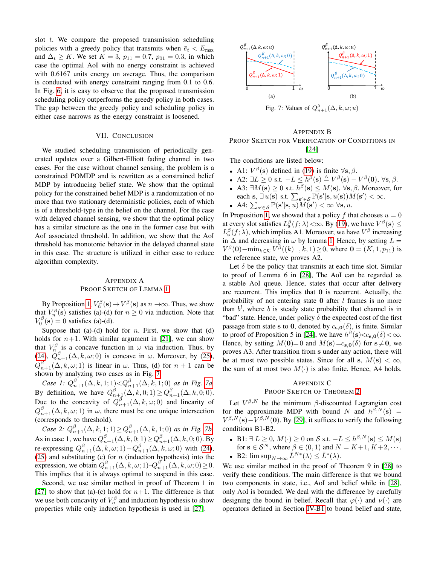slot  $t$ . We compare the proposed transmission scheduling policies with a greedy policy that transmits when  $\bar{e}_t < E_{\text{max}}$ and  $\Delta_t \geq K$ . We set  $K = 3$ ,  $p_{11} = 0.7$ ,  $p_{01} = 0.3$ , in which case the optimal AoI with no energy constraint is achieved with 0.6167 units energy on average. Thus, the comparison is conducted with energy constraint ranging from 0.1 to 0.6. In Fig. [6,](#page-7-7) it is easy to observe that the proposed transmission scheduling policy outperforms the greedy policy in both cases. The gap between the greedy policy and scheduling policy in either case narrows as the energy constraint is loosened.

# VII. CONCLUSION

We studied scheduling transmission of periodically generated updates over a Gilbert-Elliott fading channel in two cases. For the case without channel sensing, the problem is a constrained POMDP and is rewritten as a constrained belief MDP by introducing belief state. We show that the optimal policy for the constrained belief MDP is a randomization of no more than two stationary deterministic policies, each of which is of a threshold-type in the belief on the channel. For the case with delayed channel sensing, we show that the optimal policy has a similar structure as the one in the former case but with AoI associated threshold. In addition, we show that the AoI threshold has monotonic behavior in the delayed channel state in this case. The structure is utilized in either case to reduce algorithm complexity.

# <span id="page-8-0"></span>APPENDIX A PROOF SKETCH OF LEMMA [1](#page-5-1)

By Proposition [1,](#page-4-5)  $V_n^{\beta}(\mathbf{s}) \to V^{\beta}(\mathbf{s})$  as  $n \to \infty$ . Thus, we show that  $V_n^{\beta}$ (s) satisfies (a)-(d) for  $n \geq 0$  via induction. Note that  $V_0^{\beta}(\mathbf{s}) = 0$  satisfies (a)-(d).

Suppose that (a)-(d) hold for *n*. First, we show that (d) holds for  $n+1$ . With similar argument in [\[21\]](#page-9-20), we can show that  $V_{n}^{\beta}$  is a concave function in  $\omega$  via induction. Thus, by [\(24\)](#page-5-5),  $\ddot{Q}_{n+1}^{\beta}(\Delta, k, \omega; 0)$  is concave in  $\omega$ . Moreover, by [\(25\)](#page-5-6),  $Q_{n+1}^{\beta}(\Delta, k, \omega; 1)$  is linear in  $\omega$ . Thus, (d) for  $n+1$  can be shown by analyzing two cases as in Fig. [7.](#page-8-3)

*Case 1:*  $Q_{n+1}^{\beta}(\Delta, k, 1; 1) < Q_{n+1}^{\beta}(\Delta, k, 1; 0)$  *as in Fig. [7a.](#page-8-4)* By definition, we have  $Q_{n+1}^{\beta}(\Delta, k, 0; 1) \geq Q_{n+1}^{\beta}(\Delta, k, 0; 0)$ . Due to the concavity of  $Q_{n+1}^{\beta}(\Delta, k, \omega; 0)$  and linearity of  $Q_{n+1}^{\beta}(\Delta, k, \omega; 1)$  in  $\omega$ , there must be one unique intersection (corresponds to threshold).

*Case 2:*  $Q_{n+1}^{\beta}(\Delta, k, 1; 1) \geq Q_{n+1}^{\beta}(\Delta, k, 1; 0)$  *as in Fig. [7b.](#page-8-5)* As in case 1, we have  $Q_{n+1}^{\beta}(\Delta, k, 0; 1) \ge Q_{n+1}^{\beta}(\Delta, k, 0; 0)$ . By re-expressing  $Q_{n+1}^{\beta}(\Delta, k, \omega; 1) - Q_{n+1}^{\beta}(\Delta, k, \omega; 0)$  with [\(24\)](#page-5-5), [\(25\)](#page-5-6) and substituting (c) for *n* (induction hypothesis) into the expression, we obtain  $Q_{n+1}^{\beta}(\Delta, k, \omega; 1) - Q_{n+1}^{\beta}(\Delta, k, \omega; 0) \ge 0$ . This implies that it is always optimal to suspend in this case.

Second, we use similar method in proof of Theorem 1 in [\[27\]](#page-9-26) to show that (a)-(c) hold for  $n+1$ . The difference is that we use both concavity of  $V_n^{\beta}$  and induction hypothesis to show properties while only induction hypothesis is used in [\[27\]](#page-9-26).

<span id="page-8-5"></span><span id="page-8-4"></span><span id="page-8-3"></span>

# <span id="page-8-1"></span>APPENDIX B PROOF SKETCH FOR VERIFICATION OF CONDITIONS IN [\[24\]](#page-9-23)

The conditions are listed below:

- A1:  $V^{\beta}(\mathbf{s})$  defined in [\(19\)](#page-4-9) is finite  $\forall \mathbf{s}, \beta$ .
- A2:  $\exists L \geq 0$  s.t.  $-L \leq h^{\beta}(\mathbf{s}) \triangleq V^{\beta}(\mathbf{s}) V^{\beta}(\mathbf{0}), \forall \mathbf{s}, \beta$ .
- A3:  $\exists M(\mathbf{s}) \ge 0$  s.t.  $h^{\beta}(\mathbf{s}) \le M(\mathbf{s}), \forall \mathbf{s}, \beta$ . Moreover, for each s,  $\exists u(s)$  s.t.  $\sum_{s' \in S} \mathbb{P}(s'|s, u(s))M(s') < \infty$ .
- A4:  $\sum_{\mathbf{s}' \in \mathcal{S}} \mathbb{P}(\mathbf{s}'|\mathbf{s}, u) \widetilde{M}(\mathbf{s}') < \infty$   $\forall \mathbf{s}, u$ .

In Proposition [1,](#page-4-5) we showed that a policy f that chooses  $u = 0$ at every slot satisfies  $L_s^{\beta}(f; \lambda) < \infty$ . By [\(19\)](#page-4-9), we have  $V^{\beta}(\mathbf{s}) \leq$  $L_{\mathbf{s}}^{\beta}(f; \lambda)$ , which implies A1. Moreover, we have  $V^{\beta}$  increasing in  $\Delta$  and decreasing in  $\omega$  by lemma [1.](#page-5-1) Hence, by setting  $L =$  $V^{\beta}(\mathbf{0}) - \min_{k \in \mathcal{K}} V^{\beta}((k)_{-}, k, 1) \geq 0$ , where  $\mathbf{0} = (K, 1, p_{11})$  is the reference state, we proves A2.

Let  $\delta$  be the policy that transmits at each time slot. Similar to proof of Lemma 6 in [\[28\]](#page-9-27), The AoI can be regarded as a stable AoI queue. Hence, states that occur after delivery are recurrent. This implies that 0 is recurrent. Actually, the probability of not entering state  $\bf{0}$  after  $\ell$  frames is no more than  $b^{l}$ , where b is steady state probability that channel is in "bad" state. Hence, under policy  $\delta$  the expected cost of the first passage from state s to 0, denoted by  $c_{s,0}(\delta)$ , is finite. Similar to proof of Proposition 5 in [\[24\]](#page-9-23), we have  $h^{\beta}(s) < c_{s,0}(\delta) < \infty$ . Hence, by setting  $M(0)=0$  and  $M(s)=c_{s,0}(\delta)$  for  $s\neq 0$ , we proves A3. After transition from s under any action, there will be at most two possible states. Since for all s,  $M(s) < \infty$ , the sum of at most two  $M(\cdot)$  is also finite. Hence, A4 holds.

# <span id="page-8-2"></span>APPENDIX C

# PROOF SKETCH OF THEOREM [2](#page-5-2)

Let  $V^{\beta,N}$  be the minimum  $\beta$ -discounted Lagrangian cost for the approximate MDP with bound N and  $h^{\beta,N}(s)$  =  $V^{\beta,N}(\mathbf{s}) - V^{\beta,N}(\mathbf{0})$ . By [\[29\]](#page-9-28), it suffices to verify the following conditions B1-B2.

- B1:  $\exists L \geq 0$ ,  $M(\cdot) \geq 0$  on S s.t.  $-L \leq h^{\beta,N}(\mathbf{s}) \leq M(\mathbf{s})$ for  $\mathbf{s} \in \mathcal{S}^N$ , where  $\beta \in (0,1)$  and  $N = K+1, K+2, \cdots$ .
- B2:  $\limsup_{N\to\infty} \overline{L}^{N*}(\lambda) \leq \overline{L}^{*}(\lambda)$ .

We use similar method in the proof of Theorem 9 in [\[28\]](#page-9-27) to verify these conditions. The main difference is that we bound two components in state, i.e., AoI and belief while in [\[28\]](#page-9-27), only AoI is bounded. We deal with the difference by carefully designing the bound in belief. Recall that  $\varphi(\cdot)$  and  $\nu(\cdot)$  are operators defined in Section [IV-B1](#page-5-4) to bound belief and state,